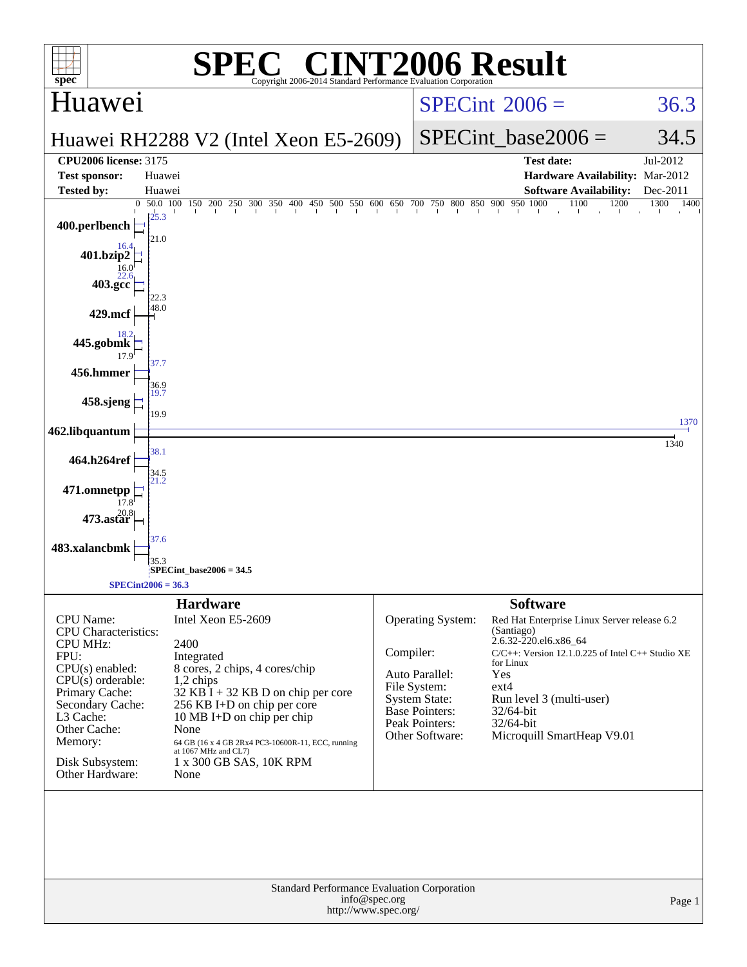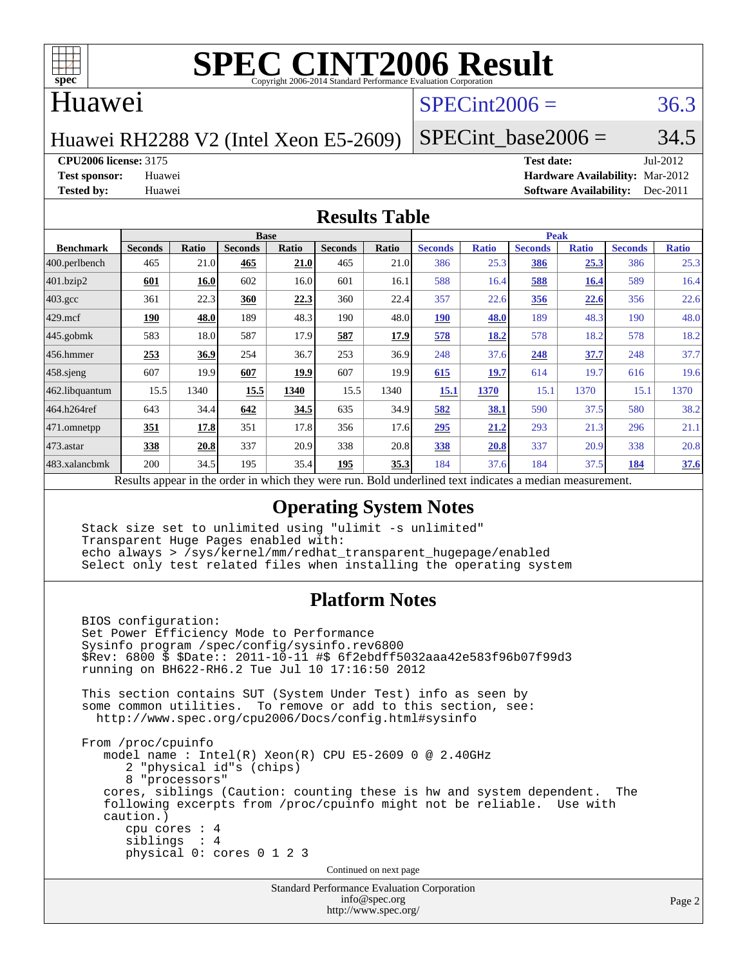

#### Huawei

## $SPECint2006 = 36.3$  $SPECint2006 = 36.3$

Huawei RH2288 V2 (Intel Xeon E5-2609)

SPECint base2006 =  $34.5$ 

**[CPU2006 license:](http://www.spec.org/auto/cpu2006/Docs/result-fields.html#CPU2006license)** 3175 **[Test date:](http://www.spec.org/auto/cpu2006/Docs/result-fields.html#Testdate)** Jul-2012

**[Test sponsor:](http://www.spec.org/auto/cpu2006/Docs/result-fields.html#Testsponsor)** Huawei **[Hardware Availability:](http://www.spec.org/auto/cpu2006/Docs/result-fields.html#HardwareAvailability)** Mar-2012 **[Tested by:](http://www.spec.org/auto/cpu2006/Docs/result-fields.html#Testedby)** Huawei **[Software Availability:](http://www.spec.org/auto/cpu2006/Docs/result-fields.html#SoftwareAvailability)** Dec-2011

#### **[Results Table](http://www.spec.org/auto/cpu2006/Docs/result-fields.html#ResultsTable)**

|                    | <b>Base</b>                                    |       |                                                                 |                                            |                |              | <b>Peak</b>    |              |                |              |                |              |
|--------------------|------------------------------------------------|-------|-----------------------------------------------------------------|--------------------------------------------|----------------|--------------|----------------|--------------|----------------|--------------|----------------|--------------|
| <b>Benchmark</b>   | <b>Seconds</b>                                 | Ratio | <b>Seconds</b>                                                  | <b>Ratio</b>                               | <b>Seconds</b> | <b>Ratio</b> | <b>Seconds</b> | <b>Ratio</b> | <b>Seconds</b> | <b>Ratio</b> | <b>Seconds</b> | <b>Ratio</b> |
| $ 400$ .perlbench  | 465                                            | 21.0  | 465                                                             | 21.0                                       | 465            | 21.0         | 386            | 25.3         | 386            | 25.3         | 386            | 25.3         |
| 401.bzip2          | 601                                            | 16.0  | 602                                                             | 16.0                                       | 601            | 16.1         | 588            | 16.4         | 588            | <b>16.4</b>  | 589            | 16.4         |
| $403.\mathrm{gcc}$ | 361                                            | 22.3  | 360                                                             | 22.3                                       | 360            | 22.4         | 357            | 22.6         | 356            | 22.6         | 356            | 22.6         |
| $429$ .mcf         | 190                                            | 48.0  | 189                                                             | 48.3                                       | 190            | 48.0         | <b>190</b>     | 48.0         | 189            | 48.3         | 190            | 48.0         |
| $445$ .gobmk       | 583                                            | 18.0  | 587                                                             | 17.9                                       | 587            | <u>17.9</u>  | 578            | 18.2         | 578            | 18.2         | 578            | 18.2         |
| $456.$ hmmer       | 253                                            | 36.9  | 254                                                             | 36.7                                       | 253            | 36.9         | 248            | 37.6         | 248            | 37.7         | 248            | 37.7         |
| $458$ .sjeng       | 607                                            | 19.9  | 607                                                             | 19.9                                       | 607            | 19.9         | 615            | 19.7         | 614            | 19.7         | 616            | 19.6         |
| 462.libquantum     | 15.5                                           | 1340  | 15.5                                                            | 1340                                       | 15.5           | 1340         | 15.1           | 1370         | 15.1           | 1370         | 15.1           | 1370         |
| 464.h264ref        | 643                                            | 34.4  | 642                                                             | 34.5                                       | 635            | 34.9         | 582            | 38.1         | 590            | 37.5         | 580            | 38.2         |
| 471.omnetpp        | 351                                            | 17.8  | 351                                                             | 17.8                                       | 356            | 17.6         | 295            | 21.2         | 293            | 21.3         | 296            | 21.1         |
| $473$ . astar      | 338                                            | 20.8  | 337                                                             | 20.9                                       | 338            | 20.8         | 338            | 20.8         | 337            | 20.9         | 338            | 20.8         |
| 483.xalancbmk      | 200                                            | 34.5  | 195                                                             | 35.4                                       | 195            | 35.3         | 184            | 37.6         | 184            | 37.5         | 184            | 37.6         |
|                    | $\mathbf{D}$ and $\mathbf{L}$ and $\mathbf{L}$ |       | وبريس ومرورين وبرواله والرائدانين وبالمروان والمراوية والارتبال | Deld and called to an indicate on a madian |                |              |                |              |                |              |                |              |

Results appear in the [order in which they were run.](http://www.spec.org/auto/cpu2006/Docs/result-fields.html#RunOrder) Bold underlined text [indicates a median measurement.](http://www.spec.org/auto/cpu2006/Docs/result-fields.html#Median)

#### **[Operating System Notes](http://www.spec.org/auto/cpu2006/Docs/result-fields.html#OperatingSystemNotes)**

 Stack size set to unlimited using "ulimit -s unlimited" Transparent Huge Pages enabled with: echo always > /sys/kernel/mm/redhat\_transparent\_hugepage/enabled Select only test related files when installing the operating system

#### **[Platform Notes](http://www.spec.org/auto/cpu2006/Docs/result-fields.html#PlatformNotes)**

Standard Performance Evaluation Corporation BIOS configuration: Set Power Efficiency Mode to Performance Sysinfo program /spec/config/sysinfo.rev6800 \$Rev: 6800 \$ \$Date:: 2011-10-11 #\$ 6f2ebdff5032aaa42e583f96b07f99d3 running on BH622-RH6.2 Tue Jul 10 17:16:50 2012 This section contains SUT (System Under Test) info as seen by some common utilities. To remove or add to this section, see: <http://www.spec.org/cpu2006/Docs/config.html#sysinfo> From /proc/cpuinfo model name : Intel(R) Xeon(R) CPU E5-2609 0 @ 2.40GHz 2 "physical id"s (chips) 8 "processors" cores, siblings (Caution: counting these is hw and system dependent. The following excerpts from /proc/cpuinfo might not be reliable. Use with caution.) cpu cores : 4 siblings : 4 physical 0: cores 0 1 2 3 Continued on next page

[info@spec.org](mailto:info@spec.org) <http://www.spec.org/>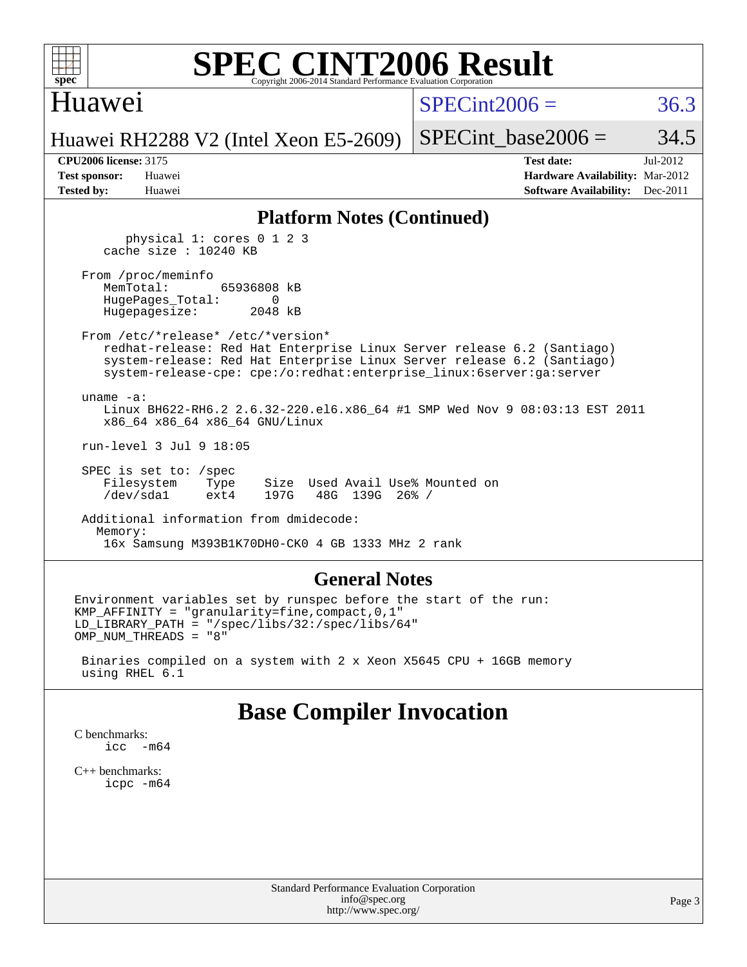

### Huawei

 $SPECint2006 = 36.3$  $SPECint2006 = 36.3$ 

Huawei RH2288 V2 (Intel Xeon E5-2609)

SPECint base2006 =  $34.5$ 

**[CPU2006 license:](http://www.spec.org/auto/cpu2006/Docs/result-fields.html#CPU2006license)** 3175 **[Test date:](http://www.spec.org/auto/cpu2006/Docs/result-fields.html#Testdate)** Jul-2012 **[Test sponsor:](http://www.spec.org/auto/cpu2006/Docs/result-fields.html#Testsponsor)** Huawei **[Hardware Availability:](http://www.spec.org/auto/cpu2006/Docs/result-fields.html#HardwareAvailability)** Mar-2012 **[Tested by:](http://www.spec.org/auto/cpu2006/Docs/result-fields.html#Testedby)** Huawei **[Software Availability:](http://www.spec.org/auto/cpu2006/Docs/result-fields.html#SoftwareAvailability)** Dec-2011

#### **[Platform Notes \(Continued\)](http://www.spec.org/auto/cpu2006/Docs/result-fields.html#PlatformNotes)**

 physical 1: cores 0 1 2 3 cache size : 10240 KB

From /proc/meminfo<br>MemTotal: 65936808 kB HugePages\_Total: 0 Hugepagesize: 2048 kB

 From /etc/\*release\* /etc/\*version\* redhat-release: Red Hat Enterprise Linux Server release 6.2 (Santiago) system-release: Red Hat Enterprise Linux Server release 6.2 (Santiago) system-release-cpe: cpe:/o:redhat:enterprise\_linux:6server:ga:server

 uname -a: Linux BH622-RH6.2 2.6.32-220.el6.x86\_64 #1 SMP Wed Nov 9 08:03:13 EST 2011 x86\_64 x86\_64 x86\_64 GNU/Linux

run-level 3 Jul 9 18:05

SPEC is set to: /spec<br>Filesystem Type Type Size Used Avail Use% Mounted on /dev/sda1 ext4 197G 48G 139G 26% /

 Additional information from dmidecode: Memory: 16x Samsung M393B1K70DH0-CK0 4 GB 1333 MHz 2 rank

#### **[General Notes](http://www.spec.org/auto/cpu2006/Docs/result-fields.html#GeneralNotes)**

Environment variables set by runspec before the start of the run: KMP\_AFFINITY = "granularity=fine,compact,0,1" LD\_LIBRARY\_PATH = "/spec/libs/32:/spec/libs/64" OMP\_NUM\_THREADS = "8"

 Binaries compiled on a system with 2 x Xeon X5645 CPU + 16GB memory using RHEL 6.1

### **[Base Compiler Invocation](http://www.spec.org/auto/cpu2006/Docs/result-fields.html#BaseCompilerInvocation)**

[C benchmarks](http://www.spec.org/auto/cpu2006/Docs/result-fields.html#Cbenchmarks): [icc -m64](http://www.spec.org/cpu2006/results/res2012q3/cpu2006-20120717-23797.flags.html#user_CCbase_intel_icc_64bit_f346026e86af2a669e726fe758c88044)

[C++ benchmarks:](http://www.spec.org/auto/cpu2006/Docs/result-fields.html#CXXbenchmarks) [icpc -m64](http://www.spec.org/cpu2006/results/res2012q3/cpu2006-20120717-23797.flags.html#user_CXXbase_intel_icpc_64bit_fc66a5337ce925472a5c54ad6a0de310)

> Standard Performance Evaluation Corporation [info@spec.org](mailto:info@spec.org) <http://www.spec.org/>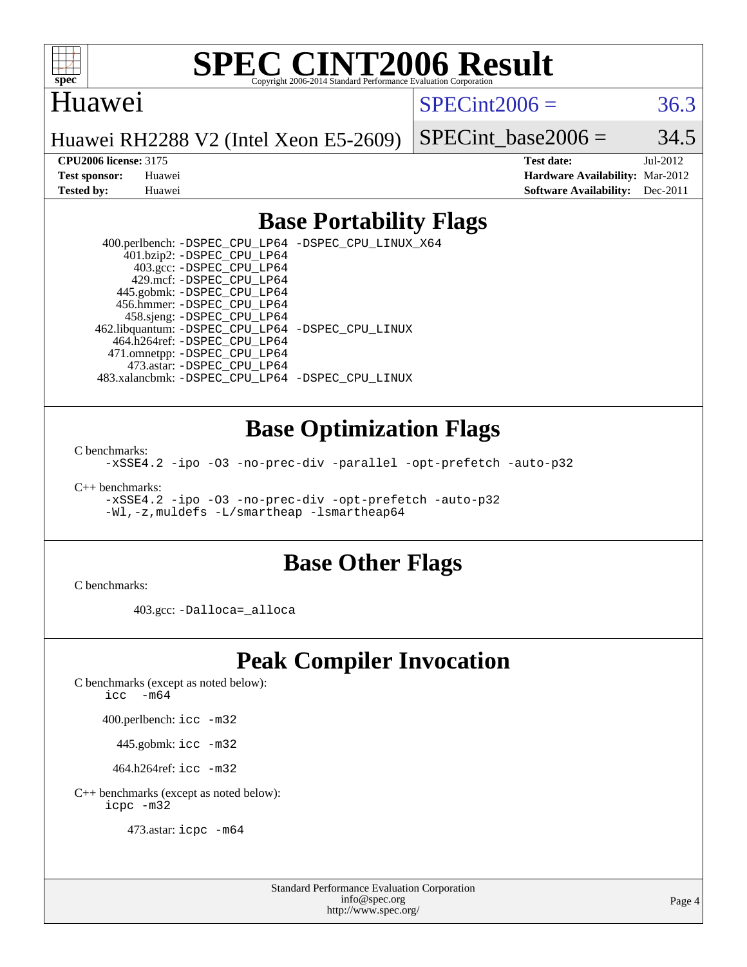

#### Huawei

#### $SPECint2006 = 36.3$  $SPECint2006 = 36.3$

Huawei RH2288 V2 (Intel Xeon E5-2609)

SPECint base2006 =  $34.5$ 

**[CPU2006 license:](http://www.spec.org/auto/cpu2006/Docs/result-fields.html#CPU2006license)** 3175 **[Test date:](http://www.spec.org/auto/cpu2006/Docs/result-fields.html#Testdate)** Jul-2012 **[Test sponsor:](http://www.spec.org/auto/cpu2006/Docs/result-fields.html#Testsponsor)** Huawei **[Hardware Availability:](http://www.spec.org/auto/cpu2006/Docs/result-fields.html#HardwareAvailability)** Mar-2012 **[Tested by:](http://www.spec.org/auto/cpu2006/Docs/result-fields.html#Testedby)** Huawei **[Software Availability:](http://www.spec.org/auto/cpu2006/Docs/result-fields.html#SoftwareAvailability)** Dec-2011

### **[Base Portability Flags](http://www.spec.org/auto/cpu2006/Docs/result-fields.html#BasePortabilityFlags)**

 400.perlbench: [-DSPEC\\_CPU\\_LP64](http://www.spec.org/cpu2006/results/res2012q3/cpu2006-20120717-23797.flags.html#b400.perlbench_basePORTABILITY_DSPEC_CPU_LP64) [-DSPEC\\_CPU\\_LINUX\\_X64](http://www.spec.org/cpu2006/results/res2012q3/cpu2006-20120717-23797.flags.html#b400.perlbench_baseCPORTABILITY_DSPEC_CPU_LINUX_X64) 401.bzip2: [-DSPEC\\_CPU\\_LP64](http://www.spec.org/cpu2006/results/res2012q3/cpu2006-20120717-23797.flags.html#suite_basePORTABILITY401_bzip2_DSPEC_CPU_LP64) 403.gcc: [-DSPEC\\_CPU\\_LP64](http://www.spec.org/cpu2006/results/res2012q3/cpu2006-20120717-23797.flags.html#suite_basePORTABILITY403_gcc_DSPEC_CPU_LP64) 429.mcf: [-DSPEC\\_CPU\\_LP64](http://www.spec.org/cpu2006/results/res2012q3/cpu2006-20120717-23797.flags.html#suite_basePORTABILITY429_mcf_DSPEC_CPU_LP64) 445.gobmk: [-DSPEC\\_CPU\\_LP64](http://www.spec.org/cpu2006/results/res2012q3/cpu2006-20120717-23797.flags.html#suite_basePORTABILITY445_gobmk_DSPEC_CPU_LP64) 456.hmmer: [-DSPEC\\_CPU\\_LP64](http://www.spec.org/cpu2006/results/res2012q3/cpu2006-20120717-23797.flags.html#suite_basePORTABILITY456_hmmer_DSPEC_CPU_LP64) 458.sjeng: [-DSPEC\\_CPU\\_LP64](http://www.spec.org/cpu2006/results/res2012q3/cpu2006-20120717-23797.flags.html#suite_basePORTABILITY458_sjeng_DSPEC_CPU_LP64) 462.libquantum: [-DSPEC\\_CPU\\_LP64](http://www.spec.org/cpu2006/results/res2012q3/cpu2006-20120717-23797.flags.html#suite_basePORTABILITY462_libquantum_DSPEC_CPU_LP64) [-DSPEC\\_CPU\\_LINUX](http://www.spec.org/cpu2006/results/res2012q3/cpu2006-20120717-23797.flags.html#b462.libquantum_baseCPORTABILITY_DSPEC_CPU_LINUX) 464.h264ref: [-DSPEC\\_CPU\\_LP64](http://www.spec.org/cpu2006/results/res2012q3/cpu2006-20120717-23797.flags.html#suite_basePORTABILITY464_h264ref_DSPEC_CPU_LP64) 471.omnetpp: [-DSPEC\\_CPU\\_LP64](http://www.spec.org/cpu2006/results/res2012q3/cpu2006-20120717-23797.flags.html#suite_basePORTABILITY471_omnetpp_DSPEC_CPU_LP64) 473.astar: [-DSPEC\\_CPU\\_LP64](http://www.spec.org/cpu2006/results/res2012q3/cpu2006-20120717-23797.flags.html#suite_basePORTABILITY473_astar_DSPEC_CPU_LP64) 483.xalancbmk: [-DSPEC\\_CPU\\_LP64](http://www.spec.org/cpu2006/results/res2012q3/cpu2006-20120717-23797.flags.html#suite_basePORTABILITY483_xalancbmk_DSPEC_CPU_LP64) [-DSPEC\\_CPU\\_LINUX](http://www.spec.org/cpu2006/results/res2012q3/cpu2006-20120717-23797.flags.html#b483.xalancbmk_baseCXXPORTABILITY_DSPEC_CPU_LINUX)

### **[Base Optimization Flags](http://www.spec.org/auto/cpu2006/Docs/result-fields.html#BaseOptimizationFlags)**

[C benchmarks](http://www.spec.org/auto/cpu2006/Docs/result-fields.html#Cbenchmarks):

[-xSSE4.2](http://www.spec.org/cpu2006/results/res2012q3/cpu2006-20120717-23797.flags.html#user_CCbase_f-xSSE42_f91528193cf0b216347adb8b939d4107) [-ipo](http://www.spec.org/cpu2006/results/res2012q3/cpu2006-20120717-23797.flags.html#user_CCbase_f-ipo) [-O3](http://www.spec.org/cpu2006/results/res2012q3/cpu2006-20120717-23797.flags.html#user_CCbase_f-O3) [-no-prec-div](http://www.spec.org/cpu2006/results/res2012q3/cpu2006-20120717-23797.flags.html#user_CCbase_f-no-prec-div) [-parallel](http://www.spec.org/cpu2006/results/res2012q3/cpu2006-20120717-23797.flags.html#user_CCbase_f-parallel) [-opt-prefetch](http://www.spec.org/cpu2006/results/res2012q3/cpu2006-20120717-23797.flags.html#user_CCbase_f-opt-prefetch) [-auto-p32](http://www.spec.org/cpu2006/results/res2012q3/cpu2006-20120717-23797.flags.html#user_CCbase_f-auto-p32)

[C++ benchmarks:](http://www.spec.org/auto/cpu2006/Docs/result-fields.html#CXXbenchmarks)

[-xSSE4.2](http://www.spec.org/cpu2006/results/res2012q3/cpu2006-20120717-23797.flags.html#user_CXXbase_f-xSSE42_f91528193cf0b216347adb8b939d4107) [-ipo](http://www.spec.org/cpu2006/results/res2012q3/cpu2006-20120717-23797.flags.html#user_CXXbase_f-ipo) [-O3](http://www.spec.org/cpu2006/results/res2012q3/cpu2006-20120717-23797.flags.html#user_CXXbase_f-O3) [-no-prec-div](http://www.spec.org/cpu2006/results/res2012q3/cpu2006-20120717-23797.flags.html#user_CXXbase_f-no-prec-div) [-opt-prefetch](http://www.spec.org/cpu2006/results/res2012q3/cpu2006-20120717-23797.flags.html#user_CXXbase_f-opt-prefetch) [-auto-p32](http://www.spec.org/cpu2006/results/res2012q3/cpu2006-20120717-23797.flags.html#user_CXXbase_f-auto-p32) [-Wl,-z,muldefs](http://www.spec.org/cpu2006/results/res2012q3/cpu2006-20120717-23797.flags.html#user_CXXbase_link_force_multiple1_74079c344b956b9658436fd1b6dd3a8a) [-L/smartheap -lsmartheap64](http://www.spec.org/cpu2006/results/res2012q3/cpu2006-20120717-23797.flags.html#user_CXXbase_SmartHeap64_5e654037dadeae1fe403ab4b4466e60b)

#### **[Base Other Flags](http://www.spec.org/auto/cpu2006/Docs/result-fields.html#BaseOtherFlags)**

[C benchmarks](http://www.spec.org/auto/cpu2006/Docs/result-fields.html#Cbenchmarks):

403.gcc: [-Dalloca=\\_alloca](http://www.spec.org/cpu2006/results/res2012q3/cpu2006-20120717-23797.flags.html#b403.gcc_baseEXTRA_CFLAGS_Dalloca_be3056838c12de2578596ca5467af7f3)

## **[Peak Compiler Invocation](http://www.spec.org/auto/cpu2006/Docs/result-fields.html#PeakCompilerInvocation)**

[C benchmarks \(except as noted below\)](http://www.spec.org/auto/cpu2006/Docs/result-fields.html#Cbenchmarksexceptasnotedbelow):

icc  $-m64$ 

400.perlbench: [icc -m32](http://www.spec.org/cpu2006/results/res2012q3/cpu2006-20120717-23797.flags.html#user_peakCCLD400_perlbench_intel_icc_a6a621f8d50482236b970c6ac5f55f93)

445.gobmk: [icc -m32](http://www.spec.org/cpu2006/results/res2012q3/cpu2006-20120717-23797.flags.html#user_peakCCLD445_gobmk_intel_icc_a6a621f8d50482236b970c6ac5f55f93)

464.h264ref: [icc -m32](http://www.spec.org/cpu2006/results/res2012q3/cpu2006-20120717-23797.flags.html#user_peakCCLD464_h264ref_intel_icc_a6a621f8d50482236b970c6ac5f55f93)

[C++ benchmarks \(except as noted below\):](http://www.spec.org/auto/cpu2006/Docs/result-fields.html#CXXbenchmarksexceptasnotedbelow) [icpc -m32](http://www.spec.org/cpu2006/results/res2012q3/cpu2006-20120717-23797.flags.html#user_CXXpeak_intel_icpc_4e5a5ef1a53fd332b3c49e69c3330699)

473.astar: [icpc -m64](http://www.spec.org/cpu2006/results/res2012q3/cpu2006-20120717-23797.flags.html#user_peakCXXLD473_astar_intel_icpc_64bit_fc66a5337ce925472a5c54ad6a0de310)

Standard Performance Evaluation Corporation [info@spec.org](mailto:info@spec.org) <http://www.spec.org/>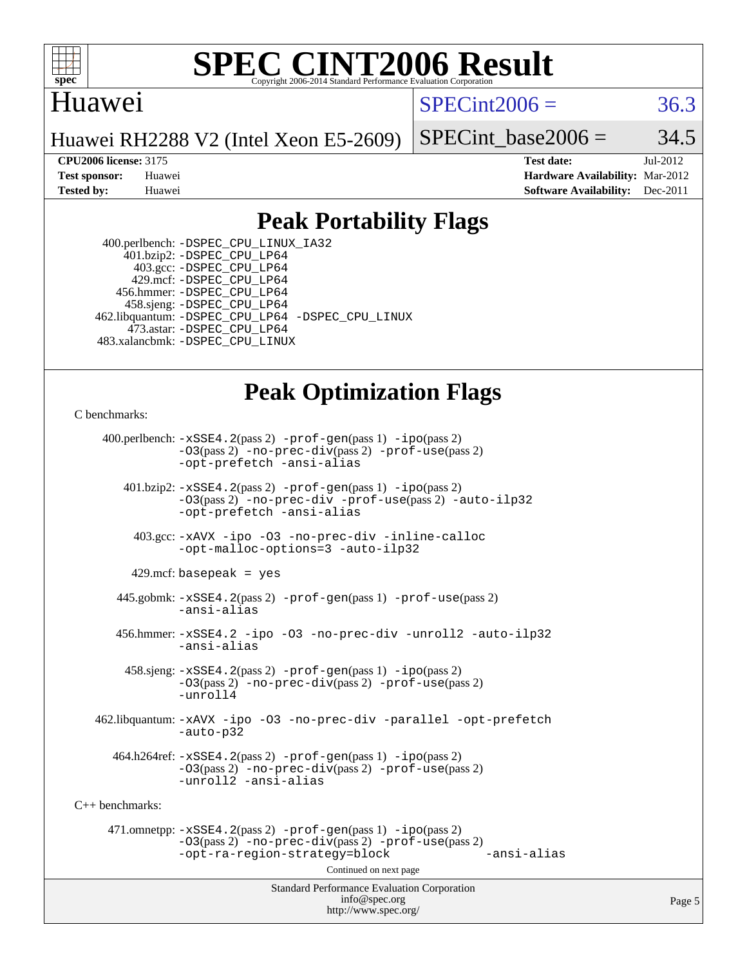

### Huawei

#### $SPECint2006 = 36.3$  $SPECint2006 = 36.3$

Huawei RH2288 V2 (Intel Xeon E5-2609)

SPECint base2006 =  $34.5$ 

**[CPU2006 license:](http://www.spec.org/auto/cpu2006/Docs/result-fields.html#CPU2006license)** 3175 **[Test date:](http://www.spec.org/auto/cpu2006/Docs/result-fields.html#Testdate)** Jul-2012 **[Test sponsor:](http://www.spec.org/auto/cpu2006/Docs/result-fields.html#Testsponsor)** Huawei **[Hardware Availability:](http://www.spec.org/auto/cpu2006/Docs/result-fields.html#HardwareAvailability)** Mar-2012 **[Tested by:](http://www.spec.org/auto/cpu2006/Docs/result-fields.html#Testedby)** Huawei **[Software Availability:](http://www.spec.org/auto/cpu2006/Docs/result-fields.html#SoftwareAvailability)** Dec-2011

### **[Peak Portability Flags](http://www.spec.org/auto/cpu2006/Docs/result-fields.html#PeakPortabilityFlags)**

 400.perlbench: [-DSPEC\\_CPU\\_LINUX\\_IA32](http://www.spec.org/cpu2006/results/res2012q3/cpu2006-20120717-23797.flags.html#b400.perlbench_peakCPORTABILITY_DSPEC_CPU_LINUX_IA32) 401.bzip2: [-DSPEC\\_CPU\\_LP64](http://www.spec.org/cpu2006/results/res2012q3/cpu2006-20120717-23797.flags.html#suite_peakPORTABILITY401_bzip2_DSPEC_CPU_LP64) 403.gcc: [-DSPEC\\_CPU\\_LP64](http://www.spec.org/cpu2006/results/res2012q3/cpu2006-20120717-23797.flags.html#suite_peakPORTABILITY403_gcc_DSPEC_CPU_LP64) 429.mcf: [-DSPEC\\_CPU\\_LP64](http://www.spec.org/cpu2006/results/res2012q3/cpu2006-20120717-23797.flags.html#suite_peakPORTABILITY429_mcf_DSPEC_CPU_LP64) 456.hmmer: [-DSPEC\\_CPU\\_LP64](http://www.spec.org/cpu2006/results/res2012q3/cpu2006-20120717-23797.flags.html#suite_peakPORTABILITY456_hmmer_DSPEC_CPU_LP64) 458.sjeng: [-DSPEC\\_CPU\\_LP64](http://www.spec.org/cpu2006/results/res2012q3/cpu2006-20120717-23797.flags.html#suite_peakPORTABILITY458_sjeng_DSPEC_CPU_LP64) 462.libquantum: [-DSPEC\\_CPU\\_LP64](http://www.spec.org/cpu2006/results/res2012q3/cpu2006-20120717-23797.flags.html#suite_peakPORTABILITY462_libquantum_DSPEC_CPU_LP64) [-DSPEC\\_CPU\\_LINUX](http://www.spec.org/cpu2006/results/res2012q3/cpu2006-20120717-23797.flags.html#b462.libquantum_peakCPORTABILITY_DSPEC_CPU_LINUX) 473.astar: [-DSPEC\\_CPU\\_LP64](http://www.spec.org/cpu2006/results/res2012q3/cpu2006-20120717-23797.flags.html#suite_peakPORTABILITY473_astar_DSPEC_CPU_LP64) 483.xalancbmk: [-DSPEC\\_CPU\\_LINUX](http://www.spec.org/cpu2006/results/res2012q3/cpu2006-20120717-23797.flags.html#b483.xalancbmk_peakCXXPORTABILITY_DSPEC_CPU_LINUX)

## **[Peak Optimization Flags](http://www.spec.org/auto/cpu2006/Docs/result-fields.html#PeakOptimizationFlags)**

[C benchmarks](http://www.spec.org/auto/cpu2006/Docs/result-fields.html#Cbenchmarks):

Standard Performance Evaluation Corporation [info@spec.org](mailto:info@spec.org) 400.perlbench: [-xSSE4.2](http://www.spec.org/cpu2006/results/res2012q3/cpu2006-20120717-23797.flags.html#user_peakPASS2_CFLAGSPASS2_LDCFLAGS400_perlbench_f-xSSE42_f91528193cf0b216347adb8b939d4107)(pass 2) [-prof-gen](http://www.spec.org/cpu2006/results/res2012q3/cpu2006-20120717-23797.flags.html#user_peakPASS1_CFLAGSPASS1_LDCFLAGS400_perlbench_prof_gen_e43856698f6ca7b7e442dfd80e94a8fc)(pass 1) [-ipo](http://www.spec.org/cpu2006/results/res2012q3/cpu2006-20120717-23797.flags.html#user_peakPASS2_CFLAGSPASS2_LDCFLAGS400_perlbench_f-ipo)(pass 2) [-O3](http://www.spec.org/cpu2006/results/res2012q3/cpu2006-20120717-23797.flags.html#user_peakPASS2_CFLAGSPASS2_LDCFLAGS400_perlbench_f-O3)(pass 2) [-no-prec-div](http://www.spec.org/cpu2006/results/res2012q3/cpu2006-20120717-23797.flags.html#user_peakPASS2_CFLAGSPASS2_LDCFLAGS400_perlbench_f-no-prec-div)(pass 2) [-prof-use](http://www.spec.org/cpu2006/results/res2012q3/cpu2006-20120717-23797.flags.html#user_peakPASS2_CFLAGSPASS2_LDCFLAGS400_perlbench_prof_use_bccf7792157ff70d64e32fe3e1250b55)(pass 2) [-opt-prefetch](http://www.spec.org/cpu2006/results/res2012q3/cpu2006-20120717-23797.flags.html#user_peakCOPTIMIZE400_perlbench_f-opt-prefetch) [-ansi-alias](http://www.spec.org/cpu2006/results/res2012q3/cpu2006-20120717-23797.flags.html#user_peakCOPTIMIZE400_perlbench_f-ansi-alias) 401.bzip2: [-xSSE4.2](http://www.spec.org/cpu2006/results/res2012q3/cpu2006-20120717-23797.flags.html#user_peakPASS2_CFLAGSPASS2_LDCFLAGS401_bzip2_f-xSSE42_f91528193cf0b216347adb8b939d4107)(pass 2) [-prof-gen](http://www.spec.org/cpu2006/results/res2012q3/cpu2006-20120717-23797.flags.html#user_peakPASS1_CFLAGSPASS1_LDCFLAGS401_bzip2_prof_gen_e43856698f6ca7b7e442dfd80e94a8fc)(pass 1) [-ipo](http://www.spec.org/cpu2006/results/res2012q3/cpu2006-20120717-23797.flags.html#user_peakPASS2_CFLAGSPASS2_LDCFLAGS401_bzip2_f-ipo)(pass 2) [-O3](http://www.spec.org/cpu2006/results/res2012q3/cpu2006-20120717-23797.flags.html#user_peakPASS2_CFLAGSPASS2_LDCFLAGS401_bzip2_f-O3)(pass 2) [-no-prec-div](http://www.spec.org/cpu2006/results/res2012q3/cpu2006-20120717-23797.flags.html#user_peakCOPTIMIZEPASS2_CFLAGSPASS2_LDCFLAGS401_bzip2_f-no-prec-div) [-prof-use](http://www.spec.org/cpu2006/results/res2012q3/cpu2006-20120717-23797.flags.html#user_peakPASS2_CFLAGSPASS2_LDCFLAGS401_bzip2_prof_use_bccf7792157ff70d64e32fe3e1250b55)(pass 2) [-auto-ilp32](http://www.spec.org/cpu2006/results/res2012q3/cpu2006-20120717-23797.flags.html#user_peakCOPTIMIZE401_bzip2_f-auto-ilp32) [-opt-prefetch](http://www.spec.org/cpu2006/results/res2012q3/cpu2006-20120717-23797.flags.html#user_peakCOPTIMIZE401_bzip2_f-opt-prefetch) [-ansi-alias](http://www.spec.org/cpu2006/results/res2012q3/cpu2006-20120717-23797.flags.html#user_peakCOPTIMIZE401_bzip2_f-ansi-alias) 403.gcc: [-xAVX](http://www.spec.org/cpu2006/results/res2012q3/cpu2006-20120717-23797.flags.html#user_peakCOPTIMIZE403_gcc_f-xAVX) [-ipo](http://www.spec.org/cpu2006/results/res2012q3/cpu2006-20120717-23797.flags.html#user_peakCOPTIMIZE403_gcc_f-ipo) [-O3](http://www.spec.org/cpu2006/results/res2012q3/cpu2006-20120717-23797.flags.html#user_peakCOPTIMIZE403_gcc_f-O3) [-no-prec-div](http://www.spec.org/cpu2006/results/res2012q3/cpu2006-20120717-23797.flags.html#user_peakCOPTIMIZE403_gcc_f-no-prec-div) [-inline-calloc](http://www.spec.org/cpu2006/results/res2012q3/cpu2006-20120717-23797.flags.html#user_peakCOPTIMIZE403_gcc_f-inline-calloc) [-opt-malloc-options=3](http://www.spec.org/cpu2006/results/res2012q3/cpu2006-20120717-23797.flags.html#user_peakCOPTIMIZE403_gcc_f-opt-malloc-options_13ab9b803cf986b4ee62f0a5998c2238) [-auto-ilp32](http://www.spec.org/cpu2006/results/res2012q3/cpu2006-20120717-23797.flags.html#user_peakCOPTIMIZE403_gcc_f-auto-ilp32)  $429$ .mcf: basepeak = yes 445.gobmk: [-xSSE4.2](http://www.spec.org/cpu2006/results/res2012q3/cpu2006-20120717-23797.flags.html#user_peakPASS2_CFLAGSPASS2_LDCFLAGS445_gobmk_f-xSSE42_f91528193cf0b216347adb8b939d4107)(pass 2) [-prof-gen](http://www.spec.org/cpu2006/results/res2012q3/cpu2006-20120717-23797.flags.html#user_peakPASS1_CFLAGSPASS1_LDCFLAGS445_gobmk_prof_gen_e43856698f6ca7b7e442dfd80e94a8fc)(pass 1) [-prof-use](http://www.spec.org/cpu2006/results/res2012q3/cpu2006-20120717-23797.flags.html#user_peakPASS2_CFLAGSPASS2_LDCFLAGS445_gobmk_prof_use_bccf7792157ff70d64e32fe3e1250b55)(pass 2) [-ansi-alias](http://www.spec.org/cpu2006/results/res2012q3/cpu2006-20120717-23797.flags.html#user_peakCOPTIMIZE445_gobmk_f-ansi-alias) 456.hmmer: [-xSSE4.2](http://www.spec.org/cpu2006/results/res2012q3/cpu2006-20120717-23797.flags.html#user_peakCOPTIMIZE456_hmmer_f-xSSE42_f91528193cf0b216347adb8b939d4107) [-ipo](http://www.spec.org/cpu2006/results/res2012q3/cpu2006-20120717-23797.flags.html#user_peakCOPTIMIZE456_hmmer_f-ipo) [-O3](http://www.spec.org/cpu2006/results/res2012q3/cpu2006-20120717-23797.flags.html#user_peakCOPTIMIZE456_hmmer_f-O3) [-no-prec-div](http://www.spec.org/cpu2006/results/res2012q3/cpu2006-20120717-23797.flags.html#user_peakCOPTIMIZE456_hmmer_f-no-prec-div) [-unroll2](http://www.spec.org/cpu2006/results/res2012q3/cpu2006-20120717-23797.flags.html#user_peakCOPTIMIZE456_hmmer_f-unroll_784dae83bebfb236979b41d2422d7ec2) [-auto-ilp32](http://www.spec.org/cpu2006/results/res2012q3/cpu2006-20120717-23797.flags.html#user_peakCOPTIMIZE456_hmmer_f-auto-ilp32) [-ansi-alias](http://www.spec.org/cpu2006/results/res2012q3/cpu2006-20120717-23797.flags.html#user_peakCOPTIMIZE456_hmmer_f-ansi-alias) 458.sjeng: [-xSSE4.2](http://www.spec.org/cpu2006/results/res2012q3/cpu2006-20120717-23797.flags.html#user_peakPASS2_CFLAGSPASS2_LDCFLAGS458_sjeng_f-xSSE42_f91528193cf0b216347adb8b939d4107)(pass 2) [-prof-gen](http://www.spec.org/cpu2006/results/res2012q3/cpu2006-20120717-23797.flags.html#user_peakPASS1_CFLAGSPASS1_LDCFLAGS458_sjeng_prof_gen_e43856698f6ca7b7e442dfd80e94a8fc)(pass 1) [-ipo](http://www.spec.org/cpu2006/results/res2012q3/cpu2006-20120717-23797.flags.html#user_peakPASS2_CFLAGSPASS2_LDCFLAGS458_sjeng_f-ipo)(pass 2) [-O3](http://www.spec.org/cpu2006/results/res2012q3/cpu2006-20120717-23797.flags.html#user_peakPASS2_CFLAGSPASS2_LDCFLAGS458_sjeng_f-O3)(pass 2) [-no-prec-div](http://www.spec.org/cpu2006/results/res2012q3/cpu2006-20120717-23797.flags.html#user_peakPASS2_CFLAGSPASS2_LDCFLAGS458_sjeng_f-no-prec-div)(pass 2) [-prof-use](http://www.spec.org/cpu2006/results/res2012q3/cpu2006-20120717-23797.flags.html#user_peakPASS2_CFLAGSPASS2_LDCFLAGS458_sjeng_prof_use_bccf7792157ff70d64e32fe3e1250b55)(pass 2) [-unroll4](http://www.spec.org/cpu2006/results/res2012q3/cpu2006-20120717-23797.flags.html#user_peakCOPTIMIZE458_sjeng_f-unroll_4e5e4ed65b7fd20bdcd365bec371b81f) 462.libquantum: [-xAVX](http://www.spec.org/cpu2006/results/res2012q3/cpu2006-20120717-23797.flags.html#user_peakCOPTIMIZE462_libquantum_f-xAVX) [-ipo](http://www.spec.org/cpu2006/results/res2012q3/cpu2006-20120717-23797.flags.html#user_peakCOPTIMIZE462_libquantum_f-ipo) [-O3](http://www.spec.org/cpu2006/results/res2012q3/cpu2006-20120717-23797.flags.html#user_peakCOPTIMIZE462_libquantum_f-O3) [-no-prec-div](http://www.spec.org/cpu2006/results/res2012q3/cpu2006-20120717-23797.flags.html#user_peakCOPTIMIZE462_libquantum_f-no-prec-div) [-parallel](http://www.spec.org/cpu2006/results/res2012q3/cpu2006-20120717-23797.flags.html#user_peakCOPTIMIZE462_libquantum_f-parallel) [-opt-prefetch](http://www.spec.org/cpu2006/results/res2012q3/cpu2006-20120717-23797.flags.html#user_peakCOPTIMIZE462_libquantum_f-opt-prefetch) [-auto-p32](http://www.spec.org/cpu2006/results/res2012q3/cpu2006-20120717-23797.flags.html#user_peakCOPTIMIZE462_libquantum_f-auto-p32)  $464.h264$ ref:  $-xSSE4$ .  $2(pass 2)$  [-prof-gen](http://www.spec.org/cpu2006/results/res2012q3/cpu2006-20120717-23797.flags.html#user_peakPASS1_CFLAGSPASS1_LDCFLAGS464_h264ref_prof_gen_e43856698f6ca7b7e442dfd80e94a8fc)(pass 1) [-ipo](http://www.spec.org/cpu2006/results/res2012q3/cpu2006-20120717-23797.flags.html#user_peakPASS2_CFLAGSPASS2_LDCFLAGS464_h264ref_f-ipo)(pass 2) [-O3](http://www.spec.org/cpu2006/results/res2012q3/cpu2006-20120717-23797.flags.html#user_peakPASS2_CFLAGSPASS2_LDCFLAGS464_h264ref_f-O3)(pass 2) [-no-prec-div](http://www.spec.org/cpu2006/results/res2012q3/cpu2006-20120717-23797.flags.html#user_peakPASS2_CFLAGSPASS2_LDCFLAGS464_h264ref_f-no-prec-div)(pass 2) [-prof-use](http://www.spec.org/cpu2006/results/res2012q3/cpu2006-20120717-23797.flags.html#user_peakPASS2_CFLAGSPASS2_LDCFLAGS464_h264ref_prof_use_bccf7792157ff70d64e32fe3e1250b55)(pass 2) [-unroll2](http://www.spec.org/cpu2006/results/res2012q3/cpu2006-20120717-23797.flags.html#user_peakCOPTIMIZE464_h264ref_f-unroll_784dae83bebfb236979b41d2422d7ec2) [-ansi-alias](http://www.spec.org/cpu2006/results/res2012q3/cpu2006-20120717-23797.flags.html#user_peakCOPTIMIZE464_h264ref_f-ansi-alias) [C++ benchmarks:](http://www.spec.org/auto/cpu2006/Docs/result-fields.html#CXXbenchmarks) 471.omnetpp: [-xSSE4.2](http://www.spec.org/cpu2006/results/res2012q3/cpu2006-20120717-23797.flags.html#user_peakPASS2_CXXFLAGSPASS2_LDCXXFLAGS471_omnetpp_f-xSSE42_f91528193cf0b216347adb8b939d4107)(pass 2) [-prof-gen](http://www.spec.org/cpu2006/results/res2012q3/cpu2006-20120717-23797.flags.html#user_peakPASS1_CXXFLAGSPASS1_LDCXXFLAGS471_omnetpp_prof_gen_e43856698f6ca7b7e442dfd80e94a8fc)(pass 1) [-ipo](http://www.spec.org/cpu2006/results/res2012q3/cpu2006-20120717-23797.flags.html#user_peakPASS2_CXXFLAGSPASS2_LDCXXFLAGS471_omnetpp_f-ipo)(pass 2) [-O3](http://www.spec.org/cpu2006/results/res2012q3/cpu2006-20120717-23797.flags.html#user_peakPASS2_CXXFLAGSPASS2_LDCXXFLAGS471_omnetpp_f-O3)(pass 2) [-no-prec-div](http://www.spec.org/cpu2006/results/res2012q3/cpu2006-20120717-23797.flags.html#user_peakPASS2_CXXFLAGSPASS2_LDCXXFLAGS471_omnetpp_f-no-prec-div)(pass 2) [-prof-use](http://www.spec.org/cpu2006/results/res2012q3/cpu2006-20120717-23797.flags.html#user_peakPASS2_CXXFLAGSPASS2_LDCXXFLAGS471_omnetpp_prof_use_bccf7792157ff70d64e32fe3e1250b55)(pass 2) [-opt-ra-region-strategy=block](http://www.spec.org/cpu2006/results/res2012q3/cpu2006-20120717-23797.flags.html#user_peakCXXOPTIMIZE471_omnetpp_f-opt-ra-region-strategy_5382940c29ea30302d682fc74bfe0147) [-ansi-alias](http://www.spec.org/cpu2006/results/res2012q3/cpu2006-20120717-23797.flags.html#user_peakCXXOPTIMIZE471_omnetpp_f-ansi-alias) Continued on next page

<http://www.spec.org/>

Page 5